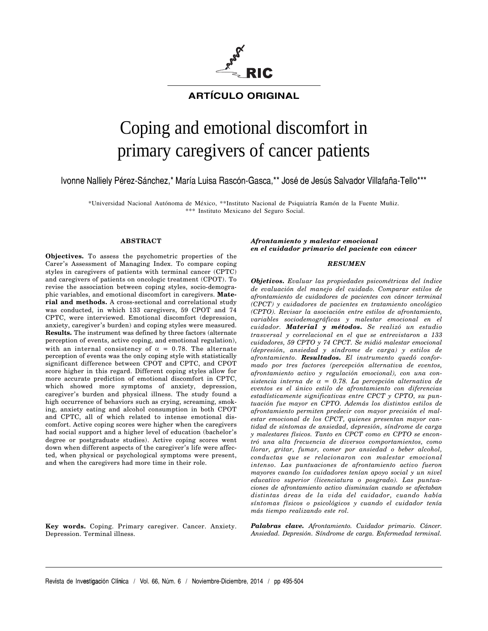

# **ARTÍCULO ORIGINAL**

# Coping and emotional discomfort in primary caregivers of cancer patients

Ivonne Nalliely Pérez-Sánchez,\* María Luisa Rascón-Gasca,\*\* José de Jesús Salvador Villafaña-Tello\*\*\*

\*Universidad Nacional Autónoma de México, \*\*Instituto Nacional de Psiquiatría Ramón de la Fuente Muñiz. \*\*\* Instituto Mexicano del Seguro Social.

#### **ABSTRACT**

**Objectives.** To assess the psychometric properties of the Carer's Assessment of Managing Index. To compare coping styles in caregivers of patients with terminal cancer (CPTC) and caregivers of patients on oncologic treatment (CPOT). To revise the association between coping styles, socio-demographic variables, and emotional discomfort in caregivers. **Material and methods.** A cross-sectional and correlational study was conducted, in which 133 caregivers, 59 CPOT and 74 CPTC, were interviewed. Emotional discomfort (depression, anxiety, caregiver's burden) and coping styles were measured. **Results.** The instrument was defined by three factors (alternate perception of events, active coping, and emotional regulation), with an internal consistency of  $\alpha = 0.78$ . The alternate perception of events was the only coping style with statistically significant difference between CPOT and CPTC, and CPOT score higher in this regard. Different coping styles allow for more accurate prediction of emotional discomfort in CPTC, which showed more symptoms of anxiety, depression, caregiver's burden and physical illness. The study found a high occurrence of behaviors such as crying, screaming, smoking, anxiety eating and alcohol consumption in both CPOT and CPTC, all of which related to intense emotional discomfort. Active coping scores were higher when the caregivers had social support and a higher level of education (bachelor's degree or postgraduate studies). Active coping scores went down when different aspects of the caregiver's life were affected, when physical or psychological symptoms were present, and when the caregivers had more time in their role.

**Key words.** Coping. Primary caregiver. Cancer. Anxiety. Depression. Terminal illness.

*Afrontamiento y malestar emocional en el cuidador primario del paciente con cáncer*

#### *RESUMEN*

*Objetivos. Evaluar las propiedades psicométricas del índice de evaluación del manejo del cuidado. Comparar estilos de afrontamiento de cuidadores de pacientes con cáncer terminal (CPCT) y cuidadores de pacientes en tratamiento oncológico (CPTO). Revisar la asociación entre estilos de afrontamiento, variables sociodemográficas y malestar emocional en el cuidador. Material y métodos. Se realizó un estudio trasversal y correlacional en el que se entrevistaron a 133 cuidadores, 59 CPTO y 74 CPCT. Se midió malestar emocional (depresión, ansiedad y síndrome de carga) y estilos de afrontamiento. Resultados. El instrumento quedó conformado por tres factores (percepción alternativa de eventos, afrontamiento activo y regulación emocional), con una consistencia interna de* α *= 0.78. La percepción alternativa de eventos es el único estilo de afrontamiento con diferencias estadísticamente significativas entre CPCT y CPTO, su puntuación fue mayor en CPTO. Además los distintos estilos de afrontamiento permiten predecir con mayor precisión el malestar emocional de los CPCT, quienes presentan mayor cantidad de síntomas de ansiedad, depresión, síndrome de carga y malestares físicos. Tanto en CPCT como en CPTO se encontró una alta frecuencia de diversos comportamientos, como llorar, gritar, fumar, comer por ansiedad o beber alcohol, conductas que se relacionaron con malestar emocional intenso. Las puntuaciones de afrontamiento activo fueron mayores cuando los cuidadores tenían apoyo social y un nivel educativo superior (licenciatura o posgrado). Las puntuaciones de afrontamiento activo disminuían cuando se afectaban distintas áreas de la vida del cuidador, cuando había síntomas físicos o psicológicos y cuando el cuidador tenía más tiempo realizando este rol.*

*Palabras clave. Afrontamiento. Cuidador primario. Cáncer. Ansiedad. Depresión. Síndrome de carga. Enfermedad terminal.*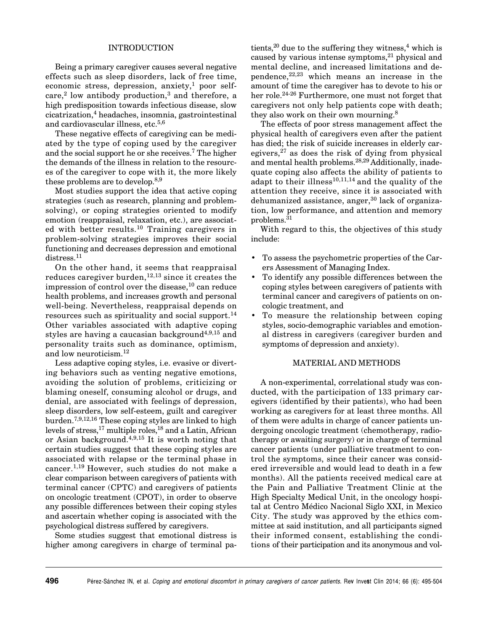#### INTRODUCTION

Being a primary caregiver causes several negative effects such as sleep disorders, lack of free time, economic stress, depression, anxiety,<sup>1</sup> poor self $care<sup>2</sup>$  low antibody production,<sup>3</sup> and therefore, a high predisposition towards infectious disease, slow cicatrization,4 headaches, insomnia, gastrointestinal and cardiovascular illness, etc. $5,6$ 

These negative effects of caregiving can be mediated by the type of coping used by the caregiver and the social support he or she receives.<sup>7</sup> The higher the demands of the illness in relation to the resources of the caregiver to cope with it, the more likely these problems are to develop.<sup>8,9</sup>

Most studies support the idea that active coping strategies (such as research, planning and problemsolving), or coping strategies oriented to modify emotion (reappraisal, relaxation, etc.), are associated with better results.10 Training caregivers in problem-solving strategies improves their social functioning and decreases depression and emotional distress.<sup>11</sup>

On the other hand, it seems that reappraisal reduces caregiver burden,  $12,13$  since it creates the impression of control over the disease,  $10$  can reduce health problems, and increases growth and personal well-being. Nevertheless, reappraisal depends on resources such as spirituality and social support.<sup>14</sup> Other variables associated with adaptive coping styles are having a caucasian background<sup>4,9,15</sup> and personality traits such as dominance, optimism, and low neuroticism.12

Less adaptive coping styles, i.e. evasive or diverting behaviors such as venting negative emotions, avoiding the solution of problems, criticizing or blaming oneself, consuming alcohol or drugs, and denial, are associated with feelings of depression, sleep disorders, low self-esteem, guilt and caregiver burden.7,9,12,16 These coping styles are linked to high levels of stress,<sup>17</sup> multiple roles,<sup>18</sup> and a Latin, African or Asian background.<sup>4,9,15</sup> It is worth noting that certain studies suggest that these coping styles are associated with relapse or the terminal phase in cancer.1,19 However, such studies do not make a clear comparison between caregivers of patients with terminal cancer (CPTC) and caregivers of patients on oncologic treatment (CPOT), in order to observe any possible differences between their coping styles and ascertain whether coping is associated with the psychological distress suffered by caregivers.

Some studies suggest that emotional distress is higher among caregivers in charge of terminal patients, $20$  due to the suffering they witness, $4$  which is caused by various intense symptoms, $^{21}$  physical and mental decline, and increased limitations and dependence,  $22,23$  which means an increase in the amount of time the caregiver has to devote to his or her role.24-26 Furthermore, one must not forget that caregivers not only help patients cope with death; they also work on their own mourning.<sup>8</sup>

The effects of poor stress management affect the physical health of caregivers even after the patient has died; the risk of suicide increases in elderly caregivers, $27$  as does the risk of dying from physical and mental health problems.28,29 Additionally, inadequate coping also affects the ability of patients to adapt to their illness<sup>10,11,14</sup> and the quality of the attention they receive, since it is associated with dehumanized assistance, anger, $30$  lack of organization, low performance, and attention and memory problems.31

With regard to this, the objectives of this study include:

- To assess the psychometric properties of the Carers Assessment of Managing Index.
- To identify any possible differences between the coping styles between caregivers of patients with terminal cancer and caregivers of patients on oncologic treatment, and
- To measure the relationship between coping styles, socio-demographic variables and emotional distress in caregivers (caregiver burden and symptoms of depression and anxiety).

#### MATERIAL AND METHODS

A non-experimental, correlational study was conducted, with the participation of 133 primary caregivers (identified by their patients), who had been working as caregivers for at least three months. All of them were adults in charge of cancer patients undergoing oncologic treatment (chemotherapy, radiotherapy or awaiting surgery) or in charge of terminal cancer patients (under palliative treatment to control the symptoms, since their cancer was considered irreversible and would lead to death in a few months). All the patients received medical care at the Pain and Palliative Treatment Clinic at the High Specialty Medical Unit, in the oncology hospital at Centro Médico Nacional Siglo XXI, in Mexico City. The study was approved by the ethics committee at said institution, and all participants signed their informed consent, establishing the conditions of their participation and its anonymous and vol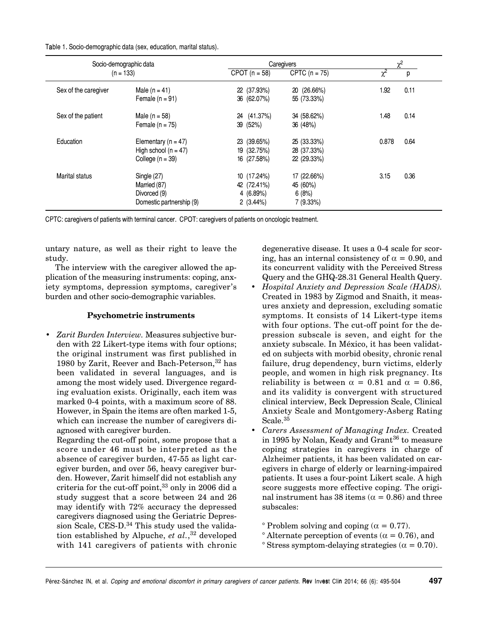Table 1. Socio-demographic data (sex, education, marital status).

| Socio-demographic data<br>$(n = 133)$ |                          | Caregivers                         |             | $\gamma^2$               |      |
|---------------------------------------|--------------------------|------------------------------------|-------------|--------------------------|------|
|                                       |                          | CPOT $(n = 58)$<br>CPTC $(n = 75)$ |             | $\overline{\chi^2}$<br>р |      |
| Sex of the caregiver                  | Male $(n = 41)$          | 22 (37.93%)                        | 20 (26.66%) | 1.92                     | 0.11 |
|                                       | Female $(n = 91)$        | 36 (62.07%)                        | 55 (73.33%) |                          |      |
| Sex of the patient                    | Male ( $n = 58$ )        | (41.37%)<br>24                     | 34 (58.62%) | 1.48                     | 0.14 |
|                                       | Female $(n = 75)$        | 39 (52%)                           | 36 (48%)    |                          |      |
| Education                             | Elementary ( $n = 47$ )  | 23 (39.65%)                        | 25 (33.33%) | 0.878                    | 0.64 |
|                                       | High school ( $n = 47$ ) | 19 (32.75%)                        | 28 (37.33%) |                          |      |
|                                       | College $(n = 39)$       | 16 (27.58%)                        | 22 (29.33%) |                          |      |
| Marital status                        | Single (27)              | 10 (17.24%)                        | 17 (22.66%) | 3.15                     | 0.36 |
|                                       | Married (87)             | 42 (72.41%)                        | 45 (60%)    |                          |      |
|                                       | Divorced (9)             | 4(6.89%)                           | 6(8%)       |                          |      |
|                                       | Domestic partnership (9) | 2(3.44%)                           | 7(9.33%)    |                          |      |

CPTC: caregivers of patients with terminal cancer. CPOT: caregivers of patients on oncologic treatment.

untary nature, as well as their right to leave the study.

The interview with the caregiver allowed the application of the measuring instruments: coping, anxiety symptoms, depression symptoms, caregiver's burden and other socio-demographic variables.

## **Psychometric instruments**

• *Zarit Burden Interview.* Measures subjective burden with 22 Likert-type items with four options; the original instrument was first published in 1980 by Zarit, Reever and Bach-Peterson,<sup>32</sup> has been validated in several languages, and is among the most widely used. Divergence regarding evaluation exists. Originally, each item was marked 0-4 points, with a maximum score of 88. However, in Spain the items are often marked 1-5, which can increase the number of caregivers diagnosed with caregiver burden.

Regarding the cut-off point, some propose that a score under 46 must be interpreted as the absence of caregiver burden, 47-55 as light caregiver burden, and over 56, heavy caregiver burden. However, Zarit himself did not establish any criteria for the cut-off point,  $33$  only in 2006 did a study suggest that a score between 24 and 26 may identify with 72% accuracy the depressed caregivers diagnosed using the Geriatric Depression Scale, CES-D.<sup>34</sup> This study used the validation established by Alpuche, *et al.*, 32 developed with 141 caregivers of patients with chronic

degenerative disease. It uses a 0-4 scale for scoring, has an internal consistency of  $\alpha = 0.90$ , and its concurrent validity with the Perceived Stress Query and the GHQ-28.31 General Health Query.

- *Hospital Anxiety and Depression Scale (HADS).* Created in 1983 by Zigmod and Snaith, it measures anxiety and depression, excluding somatic symptoms. It consists of 14 Likert-type items with four options. The cut-off point for the depression subscale is seven, and eight for the anxiety subscale. In México, it has been validated on subjects with morbid obesity, chronic renal failure, drug dependency, burn victims, elderly people, and women in high risk pregnancy. Its reliability is between  $\alpha = 0.81$  and  $\alpha = 0.86$ , and its validity is convergent with structured clinical interview, Beck Depression Scale, Clinical Anxiety Scale and Montgomery-Asberg Rating Scale.<sup>35</sup>
- *Carers Assessment of Managing Index.* Created in 1995 by Nolan, Keady and Grant<sup>36</sup> to measure coping strategies in caregivers in charge of Alzheimer patients, it has been validated on caregivers in charge of elderly or learning-impaired patients. It uses a four-point Likert scale. A high score suggests more effective coping. The original instrument has 38 items ( $\alpha = 0.86$ ) and three subscales:
	- ° Problem solving and coping ( $\alpha = 0.77$ ).
	- $\degree$  Alternate perception of events ( $\alpha = 0.76$ ), and
	- $\degree$  Stress symptom-delaying strategies ( $\alpha = 0.70$ ).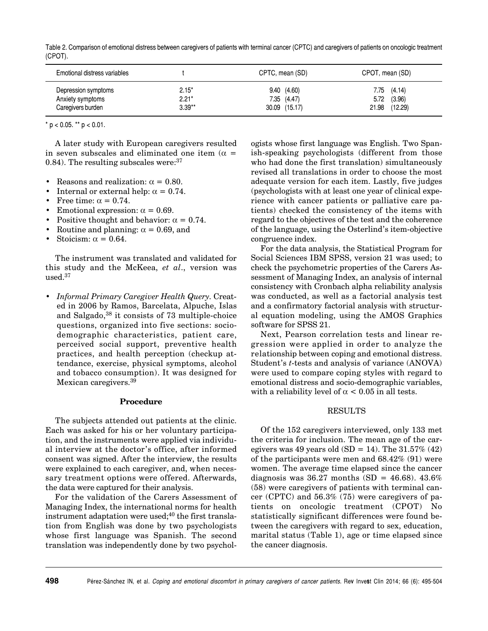| Table 2. Comparison of emotional distress between caregivers of patients with terminal cancer (CPTC) and caregivers of patients on oncologic treatment |  |  |
|--------------------------------------------------------------------------------------------------------------------------------------------------------|--|--|
| (CPOT).                                                                                                                                                |  |  |

| Emotional distress variables                                 |                                | CPTC, mean (SD)                                | CPOT, mean (SD)                               |  |  |
|--------------------------------------------------------------|--------------------------------|------------------------------------------------|-----------------------------------------------|--|--|
| Depression symptoms<br>Anxiety symptoms<br>Caregivers burden | $2.15*$<br>$2.21*$<br>$3.39**$ | 9.40(4.60)<br>$7.35$ $(4.47)$<br>30.09 (15.17) | 7.75(4.14)<br>(3.96)<br>5.72<br>21.98 (12.29) |  |  |

 $*$  p < 0.05.  $*$  p < 0.01.

A later study with European caregivers resulted in seven subscales and eliminated one item ( $\alpha$  = 0.84). The resulting subscales were:  $37$ 

- Reasons and realization:  $\alpha = 0.80$ .
- Internal or external help:  $\alpha = 0.74$ .
- Free time:  $\alpha = 0.74$ .
- Emotional expression:  $\alpha = 0.69$ .
- Positive thought and behavior:  $\alpha = 0.74$ .
- Routine and planning:  $\alpha = 0.69$ , and
- Stoicism:  $\alpha = 0.64$ .

The instrument was translated and validated for this study and the McKeea, *et al*., version was used.37

• *Informal Primary Caregiver Health Query.* Created in 2006 by Ramos, Barcelata, Alpuche, Islas and Salgado,<sup>38</sup> it consists of 73 multiple-choice questions, organized into five sections: sociodemographic characteristics, patient care, perceived social support, preventive health practices, and health perception (checkup attendance, exercise, physical symptoms, alcohol and tobacco consumption). It was designed for Mexican caregivers.<sup>39</sup>

#### **Procedure**

The subjects attended out patients at the clinic. Each was asked for his or her voluntary participation, and the instruments were applied via individual interview at the doctor's office, after informed consent was signed. After the interview, the results were explained to each caregiver, and, when necessary treatment options were offered. Afterwards, the data were captured for their analysis.

For the validation of the Carers Assessment of Managing Index, the international norms for health instrument adaptation were used; $40$  the first translation from English was done by two psychologists whose first language was Spanish. The second translation was independently done by two psychologists whose first language was English. Two Spanish-speaking psychologists (different from those who had done the first translation) simultaneously revised all translations in order to choose the most adequate version for each item. Lastly, five judges (psychologists with at least one year of clinical experience with cancer patients or palliative care patients) checked the consistency of the items with regard to the objectives of the test and the coherence of the language, using the Osterlind's item-objective congruence index.

For the data analysis, the Statistical Program for Social Sciences IBM SPSS, version 21 was used; to check the psychometric properties of the Carers Assessment of Managing Index, an analysis of internal consistency with Cronbach alpha reliability analysis was conducted, as well as a factorial analysis test and a confirmatory factorial analysis with structural equation modeling, using the AMOS Graphics software for SPSS 21.

Next, Pearson correlation tests and linear regression were applied in order to analyze the relationship between coping and emotional distress. Student's *t*-tests and analysis of variance (ANOVA) were used to compare coping styles with regard to emotional distress and socio-demographic variables, with a reliability level of  $\alpha$  < 0.05 in all tests.

#### RESULTS

Of the 152 caregivers interviewed, only 133 met the criteria for inclusion. The mean age of the caregivers was 49 years old  $(SD = 14)$ . The 31.57% (42) of the participants were men and 68.42% (91) were women. The average time elapsed since the cancer diagnosis was 36.27 months (SD =  $46.68$ ).  $43.6\%$ (58) were caregivers of patients with terminal cancer (CPTC) and 56.3% (75) were caregivers of patients on oncologic treatment (CPOT) No statistically significant differences were found between the caregivers with regard to sex, education, marital status (Table 1), age or time elapsed since the cancer diagnosis.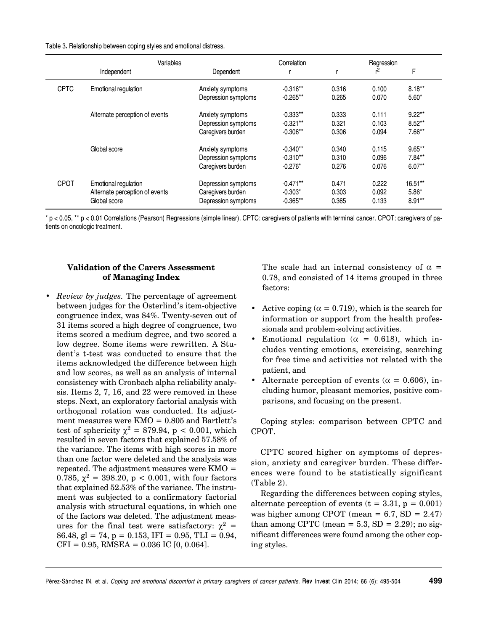Table 3. Relationship between coping styles and emotional distress.

|             | Variables                      |                     | Correlation |       | Regression |           |
|-------------|--------------------------------|---------------------|-------------|-------|------------|-----------|
|             | Independent                    | Dependent           |             |       |            | F.        |
| <b>CPTC</b> | Emotional regulation           | Anxiety symptoms    | $-0.316**$  | 0.316 | 0.100      | $8.18**$  |
|             |                                | Depression symptoms | $-0.265**$  | 0.265 | 0.070      | $5.60*$   |
|             | Alternate perception of events | Anxiety symptoms    | $-0.333**$  | 0.333 | 0.111      | $9.22***$ |
|             |                                | Depression symptoms | $-0.321**$  | 0.321 | 0.103      | $8.52***$ |
|             |                                | Caregivers burden   | $-0.306**$  | 0.306 | 0.094      | $7.66**$  |
|             | Global score                   | Anxiety symptoms    | $-0.340**$  | 0.340 | 0.115      | $9.65***$ |
|             |                                | Depression symptoms | $-0.310**$  | 0.310 | 0.096      | $7.84**$  |
|             |                                | Caregivers burden   | $-0.276*$   | 0.276 | 0.076      | $6.07**$  |
| <b>CPOT</b> | Emotional regulation           | Depression symptoms | $-0.471**$  | 0.471 | 0.222      | $16.51**$ |
|             | Alternate perception of events | Caregivers burden   | $-0.303*$   | 0.303 | 0.092      | $5.86*$   |
|             | Global score                   | Depression symptoms | $-0.365**$  | 0.365 | 0.133      | $8.91**$  |

\* p < 0.05, \*\* p < 0.01 Correlations (Pearson) Regressions (simple linear). CPTC: caregivers of patients with terminal cancer. CPOT: caregivers of patients on oncologic treatment.

## **Validation of the Carers Assessment of Managing Index**

• *Review by judges.* The percentage of agreement between judges for the Osterlind's item-objective congruence index, was 84%. Twenty-seven out of 31 items scored a high degree of congruence, two items scored a medium degree, and two scored a low degree. Some items were rewritten. A Student's t-test was conducted to ensure that the items acknowledged the difference between high and low scores, as well as an analysis of internal consistency with Cronbach alpha reliability analysis. Items 2, 7, 16, and 22 were removed in these steps. Next, an exploratory factorial analysis with orthogonal rotation was conducted. Its adjustment measures were  $KMO = 0.805$  and Bartlett's test of sphericity  $\chi^2 = 879.94$ , p < 0.001, which resulted in seven factors that explained 57.58% of the variance. The items with high scores in more than one factor were deleted and the analysis was repeated. The adjustment measures were  $KMO =$ 0.785,  $\chi^2 = 398.20$ , p < 0.001, with four factors that explained 52.53% of the variance. The instrument was subjected to a confirmatory factorial analysis with structural equations, in which one of the factors was deleted. The adjustment measures for the final test were satisfactory:  $\chi^2$  = 86.48, gl = 74, p = 0.153, IFI = 0.95, TLI = 0.94,  $CFI = 0.95$ , RMSEA = 0.036 IC [0, 0.064].

The scale had an internal consistency of  $\alpha$  = 0.78, and consisted of 14 items grouped in three factors:

- Active coping ( $\alpha = 0.719$ ), which is the search for information or support from the health professionals and problem-solving activities.
- Emotional regulation ( $\alpha = 0.618$ ), which includes venting emotions, exercising, searching for free time and activities not related with the patient, and
- Alternate perception of events ( $\alpha = 0.606$ ), including humor, pleasant memories, positive comparisons, and focusing on the present.

Coping styles: comparison between CPTC and CPOT.

CPTC scored higher on symptoms of depression, anxiety and caregiver burden. These differences were found to be statistically significant (Table 2).

Regarding the differences between coping styles, alternate perception of events  $(t = 3.31, p = 0.001)$ was higher among CPOT (mean =  $6.7$ , SD =  $2.47$ ) than among CPTC (mean =  $5.3$ , SD =  $2.29$ ); no significant differences were found among the other coping styles.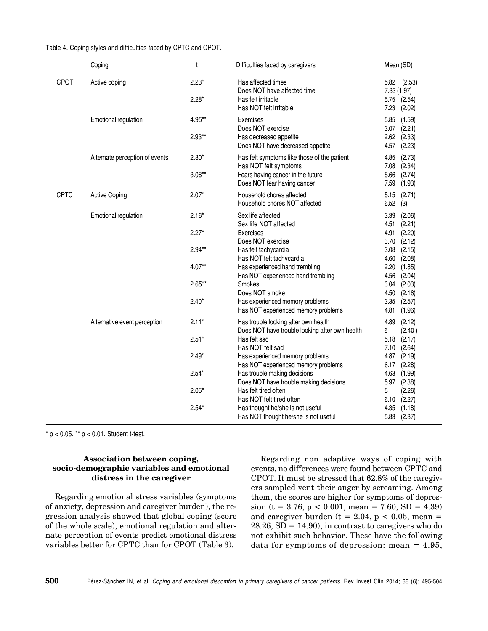|             | Coping                         | t                              | Difficulties faced by caregivers                                                                                                         | Mean (SD)                                                                              |
|-------------|--------------------------------|--------------------------------|------------------------------------------------------------------------------------------------------------------------------------------|----------------------------------------------------------------------------------------|
| CPOT        | Active coping                  | $2.23*$<br>$2.28*$             | Has affected times<br>Does NOT have affected time<br>Has felt irritable<br>Has NOT felt irritable                                        | $5.82$ $(2.53)$<br>7.33 (1.97)<br>5.75 (2.54)<br>7.23<br>(2.02)                        |
|             | Emotional regulation           | 4.95**<br>$2.93**$             | Exercises<br>Does NOT exercise<br>Has decreased appetite<br>Does NOT have decreased appetite                                             | (1.59)<br>5.85<br>$3.07$ $(2.21)$<br>(2.33)<br>2.62<br>(2.23)<br>4.57                  |
|             | Alternate perception of events | $2.30*$<br>$3.08**$            | Has felt symptoms like those of the patient<br>Has NOT felt symptoms<br>Fears having cancer in the future<br>Does NOT fear having cancer | 4.85<br>(2.73)<br>7.08<br>(2.34)<br>5.66<br>(2.74)<br>7.59<br>(1.93)                   |
| <b>CPTC</b> | <b>Active Coping</b>           | $2.07*$                        | Household chores affected<br>Household chores NOT affected                                                                               | (2.71)<br>5.15<br>(3)<br>6.52                                                          |
|             | Emotional regulation           | $2.16*$<br>$2.27*$<br>$2.94**$ | Sex life affected<br>Sex life NOT affected<br>Exercises<br>Does NOT exercise<br>Has felt tachycardia                                     | (2.06)<br>3.39<br>4.51<br>(2.21)<br>(2.20)<br>4.91<br>(2.12)<br>3.70<br>(2.15)<br>3.08 |
|             |                                | $4.07**$                       | Has NOT felt tachycardia<br>Has experienced hand trembling<br>Has NOT experienced hand trembling                                         | 4.60<br>(2.08)<br>2.20<br>(1.85)<br>4.56<br>(2.04)                                     |
|             |                                | $2.65**$                       | Smokes<br>Does NOT smoke                                                                                                                 | (2.03)<br>3.04<br>4.50<br>(2.16)                                                       |
|             |                                | $2.40*$                        | Has experienced memory problems<br>Has NOT experienced memory problems                                                                   | 3.35<br>(2.57)<br>4.81<br>(1.96)                                                       |
|             | Alternative event perception   | $2.11*$                        | Has trouble looking after own health<br>Does NOT have trouble looking after own health                                                   | 4.89<br>(2.12)<br>(2.40)<br>6                                                          |
|             |                                | $2.51*$                        | Has felt sad<br>Has NOT felt sad                                                                                                         | 5.18<br>(2.17)<br>(2.64)<br>7.10                                                       |
|             |                                | $2.49*$                        | Has experienced memory problems<br>Has NOT experienced memory problems                                                                   | 4.87 (2.19)<br>$6.17$ $(2.28)$                                                         |
|             |                                | $2.54*$<br>$2.05*$             | Has trouble making decisions<br>Does NOT have trouble making decisions<br>Has felt tired often<br>Has NOT felt tired often               | 4.63<br>(1.99)<br>5.97 (2.38)<br>(2.26)<br>5<br>$6.10$ $(2.27)$                        |
|             |                                | $2.54*$                        | Has thought he/she is not useful<br>Has NOT thought he/she is not useful                                                                 | (1.18)<br>4.35<br>5.83 (2.37)                                                          |

 $*$  p < 0.05.  $**$  p < 0.01. Student t-test.

### **Association between coping, socio-demographic variables and emotional distress in the caregiver**

Regarding emotional stress variables (symptoms of anxiety, depression and caregiver burden), the regression analysis showed that global coping (score of the whole scale), emotional regulation and alternate perception of events predict emotional distress variables better for CPTC than for CPOT (Table 3).

Regarding non adaptive ways of coping with events, no differences were found between CPTC and CPOT. It must be stressed that 62.8% of the caregivers sampled vent their anger by screaming. Among them, the scores are higher for symptoms of depression (t = 3.76, p < 0.001, mean = 7.60, SD = 4.39) and caregiver burden ( $t = 2.04$ ,  $p < 0.05$ , mean =  $28.26, SD = 14.90$ , in contrast to caregivers who do not exhibit such behavior. These have the following data for symptoms of depression: mean = 4.95,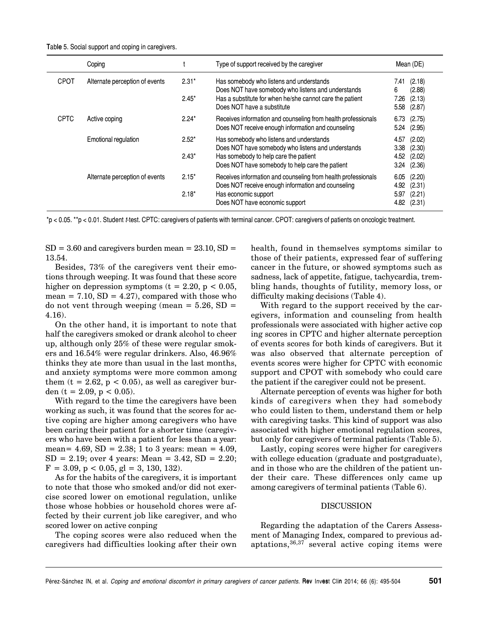|  |  |  | Table 5. Social support and coping in caregivers. |
|--|--|--|---------------------------------------------------|
|  |  |  |                                                   |
|  |  |  |                                                   |
|  |  |  |                                                   |

|             | Coping                         |         | Type of support received by the caregiver                                                                           |              | Mean (DE)        |  |
|-------------|--------------------------------|---------|---------------------------------------------------------------------------------------------------------------------|--------------|------------------|--|
| <b>CPOT</b> | Alternate perception of events | $2.31*$ | Has somebody who listens and understands<br>Does NOT have somebody who listens and understands                      | 7.41<br>6    | (2.18)<br>(2.88) |  |
|             |                                | $2.45*$ | Has a substitute for when he/she cannot care the patient<br>Does NOT have a substitute                              | 7.26<br>5.58 | (2.13)<br>(2.87) |  |
| <b>CPTC</b> | Active coping                  | $2.24*$ | Receives information and counseling from health professionals<br>Does NOT receive enough information and counseling | 6.73<br>5.24 | (2.75)<br>(2.95) |  |
|             | Emotional regulation           | $2.52*$ | Has somebody who listens and understands<br>Does NOT have somebody who listens and understands                      | 4.57<br>3.38 | (2.02)<br>(2.30) |  |
|             |                                | $2.43*$ | Has somebody to help care the patient<br>Does NOT have somebody to help care the patient                            | 4.52<br>3.24 | (2.02)<br>(2.36) |  |
|             | Alternate perception of events | $2.15*$ | Receives information and counseling from health professionals<br>Does NOT receive enough information and counseling | 6.05<br>4.92 | (2.20)<br>(2.31) |  |
|             |                                | $2.18*$ | Has economic support<br>Does NOT have economic support                                                              | 5.97<br>4.82 | (2.21)<br>(2.31) |  |

\*p < 0.05. \*\*p < 0.01. Student *t*-test. CPTC: caregivers of patients with terminal cancer. CPOT: caregivers of patients on oncologic treatment.

 $SD = 3.60$  and caregivers burden mean =  $23.10$ ,  $SD =$ 13.54.

Besides, 73% of the caregivers vent their emotions through weeping. It was found that these score higher on depression symptoms  $(t = 2.20, p < 0.05,$ mean =  $7.10$ ,  $SD = 4.27$ , compared with those who do not vent through weeping (mean  $= 5.26$ , SD  $=$ 4.16).

On the other hand, it is important to note that half the caregivers smoked or drank alcohol to cheer up, although only 25% of these were regular smokers and 16.54% were regular drinkers. Also, 46.96% thinks they ate more than usual in the last months, and anxiety symptoms were more common among them  $(t = 2.62, p < 0.05)$ , as well as caregiver burden (t = 2.09, p < 0.05).

With regard to the time the caregivers have been working as such, it was found that the scores for active coping are higher among caregivers who have been caring their patient for a shorter time (caregivers who have been with a patient for less than a year: mean=  $4.69$ , SD =  $2.38$ ; 1 to 3 years: mean =  $4.09$ ,  $SD = 2.19$ ; over 4 years: Mean = 3.42,  $SD = 2.20$ ;  $F = 3.09$ ,  $p < 0.05$ ,  $g = 3, 130, 132$ .

As for the habits of the caregivers, it is important to note that those who smoked and/or did not exercise scored lower on emotional regulation, unlike those whose hobbies or household chores were affected by their current job like caregiver, and who scored lower on active conping

The coping scores were also reduced when the caregivers had difficulties looking after their own health, found in themselves symptoms similar to those of their patients, expressed fear of suffering cancer in the future, or showed symptoms such as sadness, lack of appetite, fatigue, tachycardia, trembling hands, thoughts of futility, memory loss, or difficulty making decisions (Table 4).

With regard to the support received by the caregivers, information and counseling from health professionals were associated with higher active cop ing scores in CPTC and higher alternate perception of events scores for both kinds of caregivers. But it was also observed that alternate perception of events scores were higher for CPTC with economic support and CPOT with somebody who could care the patient if the caregiver could not be present.

Alternate perception of events was higher for both kinds of caregivers when they had somebody who could listen to them, understand them or help with caregiving tasks. This kind of support was also associated with higher emotional regulation scores, but only for caregivers of terminal patients (Table 5).

Lastly, coping scores were higher for caregivers with college education (graduate and postgraduate), and in those who are the children of the patient under their care. These differences only came up among caregivers of terminal patients (Table 6).

#### DISCUSSION

Regarding the adaptation of the Carers Assessment of Managing Index, compared to previous adaptations,36,37 several active coping items were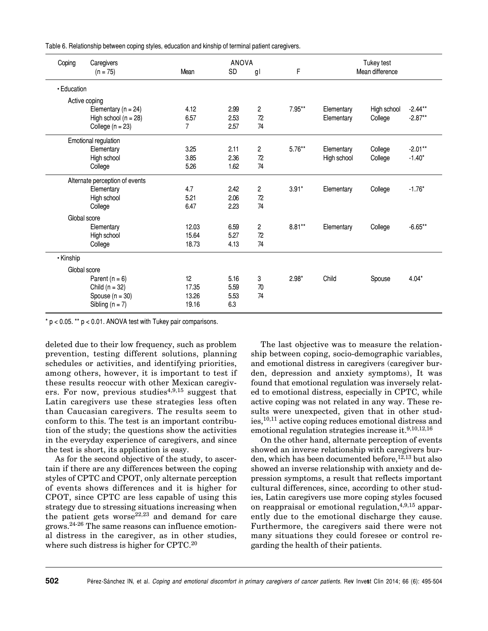Table 6. Relationship between coping styles, education and kinship of terminal patient caregivers.

| Coping<br>Caregivers |                                |                | <b>ANOVA</b> |                         |           | Tukey test  |                 |            |
|----------------------|--------------------------------|----------------|--------------|-------------------------|-----------|-------------|-----------------|------------|
|                      | $(n = 75)$                     | Mean           | SD           | gl                      | F         |             | Mean difference |            |
| • Education          |                                |                |              |                         |           |             |                 |            |
|                      | Active coping                  |                |              |                         |           |             |                 |            |
|                      | Elementary $(n = 24)$          | 4.12           | 2.99         | $\overline{c}$          | 7.95**    | Elementary  | High school     | $-2.44***$ |
|                      | High school ( $n = 28$ )       | 6.57           | 2.53         | 72                      |           | Elementary  | College         | $-2.87**$  |
|                      | College $(n = 23)$             | $\overline{7}$ | 2.57         | 74                      |           |             |                 |            |
|                      | Emotional regulation           |                |              |                         |           |             |                 |            |
|                      | Elementary                     | 3.25           | 2.11         | 2                       | $5.76***$ | Elementary  | College         | $-2.01**$  |
|                      | High school                    | 3.85           | 2.36         | 72                      |           | High school | College         | $-1.40*$   |
|                      | College                        | 5.26           | 1.62         | 74                      |           |             |                 |            |
|                      | Alternate perception of events |                |              |                         |           |             |                 |            |
|                      | Elementary                     | 4.7            | 2.42         | $\overline{c}$          | $3.91*$   | Elementary  | College         | $-1.76*$   |
|                      | High school                    | 5.21           | 2.06         | 72                      |           |             |                 |            |
|                      | College                        | 6.47           | 2.23         | 74                      |           |             |                 |            |
| Global score         |                                |                |              |                         |           |             |                 |            |
|                      | Elementary                     | 12.03          | 6.59         | $\overline{\mathbf{c}}$ | $8.81**$  | Elementary  | College         | $-6.65**$  |
|                      | High school                    | 15.64          | 5.27         | 72                      |           |             |                 |            |
|                      | College                        | 18.73          | 4.13         | 74                      |           |             |                 |            |
| • Kinship            |                                |                |              |                         |           |             |                 |            |
| Global score         |                                |                |              |                         |           |             |                 |            |
|                      | Parent $(n = 6)$               | 12             | 5.16         | 3                       | $2.98*$   | Child       | Spouse          | $4.04*$    |
|                      | Child $(n = 32)$               | 17.35          | 5.59         | 70                      |           |             |                 |            |
|                      | Spouse $(n = 30)$              | 13.26          | 5.53         | 74                      |           |             |                 |            |
|                      | Sibling $(n = 7)$              | 19.16          | 6.3          |                         |           |             |                 |            |

 $* p < 0.05$ .  $* p < 0.01$ . ANOVA test with Tukey pair comparisons.

deleted due to their low frequency, such as problem prevention, testing different solutions, planning schedules or activities, and identifying priorities, among others, however, it is important to test if these results reoccur with other Mexican caregivers. For now, previous studies<sup>4,9,15</sup> suggest that Latin caregivers use these strategies less often than Caucasian caregivers. The results seem to conform to this. The test is an important contribution of the study; the questions show the activities in the everyday experience of caregivers, and since the test is short, its application is easy.

As for the second objective of the study, to ascertain if there are any differences between the coping styles of CPTC and CPOT, only alternate perception of events shows differences and it is higher for CPOT, since CPTC are less capable of using this strategy due to stressing situations increasing when the patient gets worse $22,23$  and demand for care grows.24-26 The same reasons can influence emotional distress in the caregiver, as in other studies, where such distress is higher for CPTC.<sup>20</sup>

The last objective was to measure the relationship between coping, socio-demographic variables, and emotional distress in caregivers (caregiver burden, depression and anxiety symptoms), It was found that emotional regulation was inversely related to emotional distress, especially in CPTC, while active coping was not related in any way. These results were unexpected, given that in other studies,10,11 active coping reduces emotional distress and emotional regulation strategies increase it.9,10,12,16

On the other hand, alternate perception of events showed an inverse relationship with caregivers burden, which has been documented before,  $12,13$  but also showed an inverse relationship with anxiety and depression symptoms, a result that reflects important cultural differences, since, according to other studies, Latin caregivers use more coping styles focused on reappraisal or emotional regulation, $4,9,15$  apparently due to the emotional discharge they cause. Furthermore, the caregivers said there were not many situations they could foresee or control regarding the health of their patients.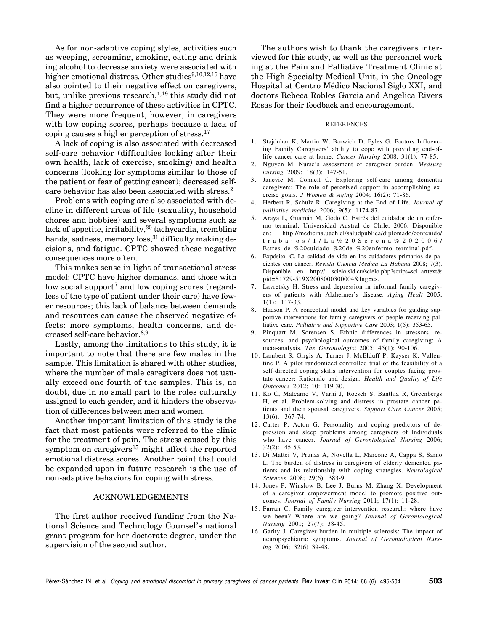As for non-adaptive coping styles, activities such as weeping, screaming, smoking, eating and drink ing alcohol to decrease anxiety were associated with higher emotional distress. Other studies $9,10,12,16$  have also pointed to their negative effect on caregivers, but, unlike previous research, $1,19$  this study did not find a higher occurrence of these activities in CPTC. They were more frequent, however, in caregivers with low coping scores, perhaps because a lack of coping causes a higher perception of stress.<sup>17</sup>

A lack of coping is also associated with decreased self-care behavior (difficulties looking after their own health, lack of exercise, smoking) and health concerns (looking for symptoms similar to those of the patient or fear of getting cancer); decreased selfcare behavior has also been associated with stress.<sup>2</sup>

Problems with coping are also associated with decline in different areas of life (sexuality, household chores and hobbies) and several symptoms such as lack of appetite, irritability,  $30$  tachycardia, trembling hands, sadness, memory  $loss$ <sup>31</sup> difficulty making decisions, and fatigue. CPTC showed these negative consequences more often.

This makes sense in light of transactional stress model: CPTC have higher demands, and those with low social support<sup>7</sup> and low coping scores (regardless of the type of patient under their care) have fewer resources; this lack of balance between demands and resources can cause the observed negative effects: more symptoms, health concerns, and decreased self-care behavior.<sup>8,9</sup>

Lastly, among the limitations to this study, it is important to note that there are few males in the sample. This limitation is shared with other studies, where the number of male caregivers does not usually exceed one fourth of the samples. This is, no doubt, due in no small part to the roles culturally assigned to each gender, and it hinders the observation of differences between men and women.

Another important limitation of this study is the fact that most patients were referred to the clinic for the treatment of pain. The stress caused by this symptom on caregivers<sup>15</sup> might affect the reported emotional distress scores. Another point that could be expanded upon in future research is the use of non-adaptive behaviors for coping with stress.

#### ACKNOWLEDGEMENTS

The first author received funding from the National Science and Technology Counsel's national grant program for her doctorate degree, under the supervision of the second author.

The authors wish to thank the caregivers interviewed for this study, as well as the personnel work ing at the Pain and Palliative Treatment Clinic at the High Specialty Medical Unit, in the Oncology Hospital at Centro Médico Nacional Siglo XXI, and doctors Rebeca Robles Garcia and Angelica Rivers Rosas for their feedback and encouragement.

#### REFERENCES

- 1. Stajduhar K, Martin W, Barwich D, Fyles G. Factors Influencing Family Caregivers' ability to cope with providing end-oflife cancer care at home. *Cancer Nursing* 2008; 31(1): 77-85.
- 2. Nguyen M. Nurse's assessment of caregiver burden. *Medsurg nursing* 2009; 18(3): 147-51.
- 3. Janevic M, Connell C. Exploring self-care among dementia caregivers: The role of perceived support in accomplishing exercise goals. *J Women & Aging* 2004; 16(2): 71-86.
- 4. Herbert R, Schulz R. Caregiving at the End of Life. *Journal of palliative medicine* 2006; 9(5): 1174-87.
- 5. Araya L, Guamán M, Godo C. Estrés del cuidador de un enfermo terminal, Universidad Austral de Chile, 2006. Disponible en: http://medicina.uach.cl/saludpublica/diplomado/contenido/ trabajos/1/La%20Serena%202006/ Estres\_de\_%20cuidado\_%20de\_%20enfermo\_terminal.pdf.
- 6. Expósito. C. La calidad de vida en los cuidadores primarios de pacientes con cáncer. *Revista Ciencia Médica La Habana* 2008; 7(3). Disponible en http:// scielo.sld.cu/scielo.php?script=sci\_arttext& pid=S1729-519X2008000300004&lng=es.
- 7. Lavretsky H. Stress and depression in informal family caregivers of patients with Alzheimer's disease. *Aging Healt* 2005; 1(1): 117-33.
- 8. Hudson P. A conceptual model and key variables for guiding supportive interventions for family caregivers of people receiving palliative care. *Palliative and Supportive Care* 2003; 1(5): 353-65.
- 9. Pinquart M, Sörensen S. Ethnic differences in stressors, resources, and psychological outcomes of family caregiving: A meta-analysis. *The Gerontologist* 2005; 45(1): 90-106.
- 10. Lambert S, Girgis A, Turner J, McElduff P, Kayser K, Vallentine P. A pilot randomized controlled trial of the feasibility of a self-directed coping skills intervention for couples facing prostate cancer: Rationale and design. *Health and Quality of Life Outcomes* 2012; 10: 119-30.
- 11. Ko C, Malcarne V, Varni J, Roesch S, Banthia R, Greenbergs H, et al. Problem-solving and distress in prostate cancer patients and their spousal caregivers. *Support Care Cancer* 2005; 13(6): 367-74.
- 12. Carter P, Acton G. Personality and coping predictors of depression and sleep problems among caregivers of Individuals who have cancer. *Journal of Gerontological Nursing* 2006; 32(2): 45-53.
- 13. Di Mattei V, Prunas A, Novella L, Marcone A, Cappa S, Sarno L. The burden of distress in caregivers of elderly demented patients and its relationship with coping strategies. *Neurological Sciences* 2008; 29(6): 383-9.
- 14. Jones P, Winslow B, Lee J, Burns M, Zhang X. Development of a caregiver empowerment model to promote positive outcomes. *Journal of Family Nursing* 2011; 17(1): 11-28.
- 15. Farran C. Family caregiver intervention research: where have we been? Where are we going? *Journal of Gerontological Nursing* 2001; 27(7): 38-45.
- 16. Garity J. Caregiver burden in multiple sclerosis: The impact of neuropsychiatric symptoms. *Journal of Gerontological Nursing* 2006; 32(6) 39-48.